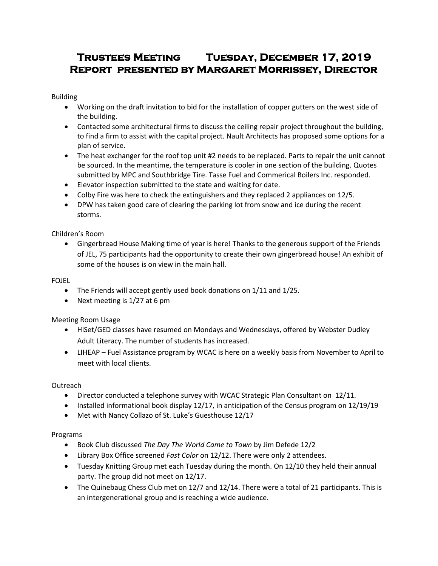# **Trustees Meeting Tuesday, December 17, 2019 Report presented by Margaret Morrissey, Director**

Building

- Working on the draft invitation to bid for the installation of copper gutters on the west side of the building.
- Contacted some architectural firms to discuss the ceiling repair project throughout the building, to find a firm to assist with the capital project. Nault Architects has proposed some options for a plan of service.
- The heat exchanger for the roof top unit #2 needs to be replaced. Parts to repair the unit cannot be sourced. In the meantime, the temperature is cooler in one section of the building. Quotes submitted by MPC and Southbridge Tire. Tasse Fuel and Commerical Boilers Inc. responded.
- Elevator inspection submitted to the state and waiting for date.
- Colby Fire was here to check the extinguishers and they replaced 2 appliances on 12/5.
- DPW has taken good care of clearing the parking lot from snow and ice during the recent storms.

Children's Room

 Gingerbread House Making time of year is here! Thanks to the generous support of the Friends of JEL, 75 participants had the opportunity to create their own gingerbread house! An exhibit of some of the houses is on view in the main hall.

FOJEL

- The Friends will accept gently used book donations on 1/11 and 1/25.
- Next meeting is 1/27 at 6 pm

Meeting Room Usage

- HiSet/GED classes have resumed on Mondays and Wednesdays, offered by Webster Dudley Adult Literacy. The number of students has increased.
- LIHEAP Fuel Assistance program by WCAC is here on a weekly basis from November to April to meet with local clients.

**Outreach** 

- Director conducted a telephone survey with WCAC Strategic Plan Consultant on 12/11.
- **Installed informational book display 12/17, in anticipation of the Census program on 12/19/19**
- Met with Nancy Collazo of St. Luke's Guesthouse 12/17

Programs

- Book Club discussed *The Day The World Came to Town* by Jim Defede 12/2
- Library Box Office screened *Fast Color* on 12/12. There were only 2 attendees.
- Tuesday Knitting Group met each Tuesday during the month. On 12/10 they held their annual party. The group did not meet on 12/17.
- The Quinebaug Chess Club met on 12/7 and 12/14. There were a total of 21 participants. This is an intergenerational group and is reaching a wide audience.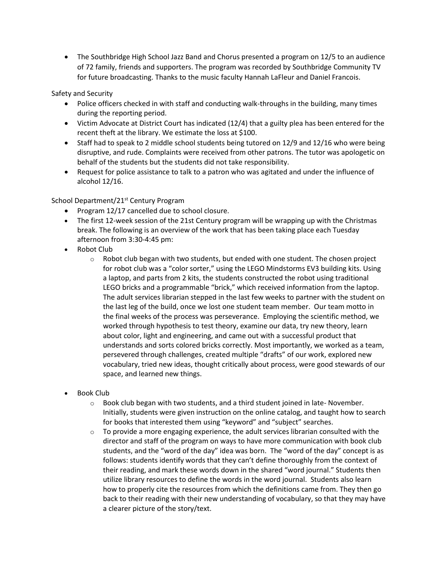The Southbridge High School Jazz Band and Chorus presented a program on 12/5 to an audience of 72 family, friends and supporters. The program was recorded by Southbridge Community TV for future broadcasting. Thanks to the music faculty Hannah LaFleur and Daniel Francois.

Safety and Security

- Police officers checked in with staff and conducting walk-throughs in the building, many times during the reporting period.
- Victim Advocate at District Court has indicated (12/4) that a guilty plea has been entered for the recent theft at the library. We estimate the loss at \$100.
- Staff had to speak to 2 middle school students being tutored on 12/9 and 12/16 who were being disruptive, and rude. Complaints were received from other patrons. The tutor was apologetic on behalf of the students but the students did not take responsibility.
- Request for police assistance to talk to a patron who was agitated and under the influence of alcohol 12/16.

# School Department/21<sup>st</sup> Century Program

- Program 12/17 cancelled due to school closure.
- The first 12-week session of the 21st Century program will be wrapping up with the Christmas break. The following is an overview of the work that has been taking place each Tuesday afternoon from 3:30-4:45 pm:
- Robot Club
	- $\circ$  Robot club began with two students, but ended with one student. The chosen project for robot club was a "color sorter," using the LEGO Mindstorms EV3 building kits. Using a laptop, and parts from 2 kits, the students constructed the robot using traditional LEGO bricks and a programmable "brick," which received information from the laptop. The adult services librarian stepped in the last few weeks to partner with the student on the last leg of the build, once we lost one student team member. Our team motto in the final weeks of the process was perseverance. Employing the scientific method, we worked through hypothesis to test theory, examine our data, try new theory, learn about color, light and engineering, and came out with a successful product that understands and sorts colored bricks correctly. Most importantly, we worked as a team, persevered through challenges, created multiple "drafts" of our work, explored new vocabulary, tried new ideas, thought critically about process, were good stewards of our space, and learned new things.
- Book Club
	- $\circ$  Book club began with two students, and a third student joined in late-November. Initially, students were given instruction on the online catalog, and taught how to search for books that interested them using "keyword" and "subject" searches.
	- $\circ$  To provide a more engaging experience, the adult services librarian consulted with the director and staff of the program on ways to have more communication with book club students, and the "word of the day" idea was born. The "word of the day" concept is as follows: students identify words that they can't define thoroughly from the context of their reading, and mark these words down in the shared "word journal." Students then utilize library resources to define the words in the word journal. Students also learn how to properly cite the resources from which the definitions came from. They then go back to their reading with their new understanding of vocabulary, so that they may have a clearer picture of the story/text.